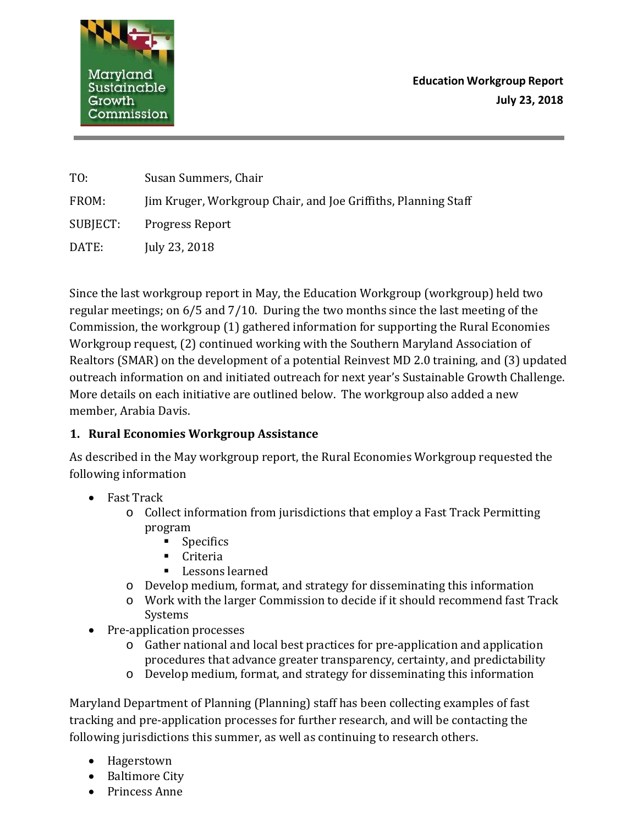

**Education Workgroup Report July 23, 2018**

| TO:      | Susan Summers, Chair                                           |
|----------|----------------------------------------------------------------|
| FROM:    | Jim Kruger, Workgroup Chair, and Joe Griffiths, Planning Staff |
| SUBJECT: | <b>Progress Report</b>                                         |
| DATE:    | July 23, 2018                                                  |

Since the last workgroup report in May, the Education Workgroup (workgroup) held two regular meetings; on 6/5 and 7/10. During the two months since the last meeting of the Commission, the workgroup (1) gathered information for supporting the Rural Economies Workgroup request, (2) continued working with the Southern Maryland Association of Realtors (SMAR) on the development of a potential Reinvest MD 2.0 training, and (3) updated outreach information on and initiated outreach for next year's Sustainable Growth Challenge. More details on each initiative are outlined below. The workgroup also added a new member, Arabia Davis.

## **1. Rural Economies Workgroup Assistance**

As described in the May workgroup report, the Rural Economies Workgroup requested the following information

- Fast Track
	- o Collect information from jurisdictions that employ a Fast Track Permitting program
		- **Specifics**
		- **Criteria**
		- Lessons learned
	- o Develop medium, format, and strategy for disseminating this information
	- o Work with the larger Commission to decide if it should recommend fast Track Systems
- Pre-application processes
	- o Gather national and local best practices for pre-application and application procedures that advance greater transparency, certainty, and predictability
	- o Develop medium, format, and strategy for disseminating this information

Maryland Department of Planning (Planning) staff has been collecting examples of fast tracking and pre-application processes for further research, and will be contacting the following jurisdictions this summer, as well as continuing to research others.

- Hagerstown
- Baltimore City
- Princess Anne